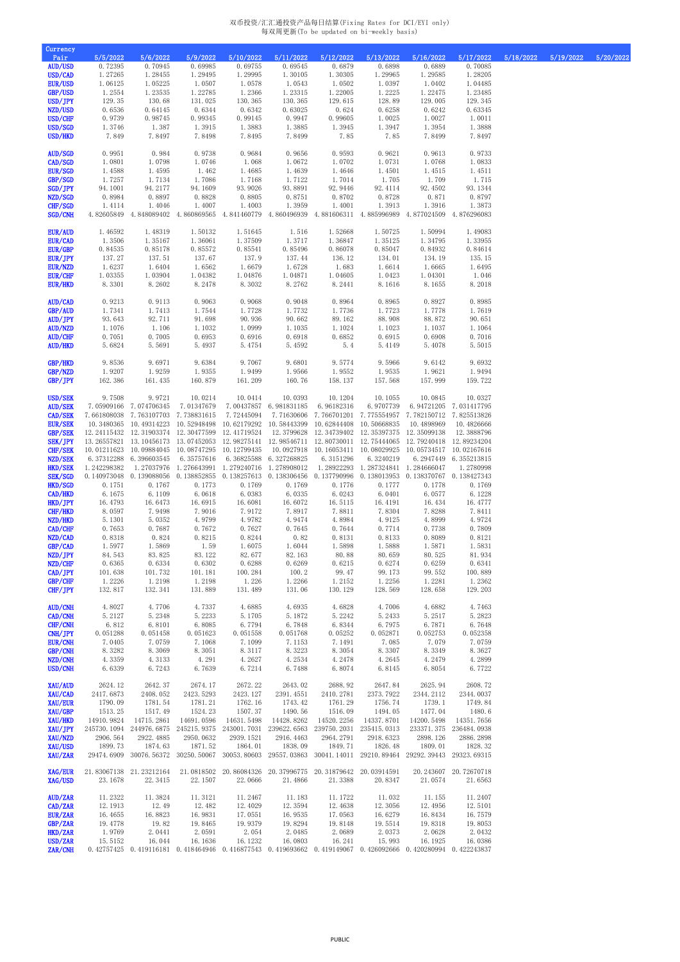## 双币投资/汇汇通投资产品每日结算(Fixing Rates for DCI/EYI only) 每双周更新(To be updated on bi-weekly basis)

| <b>Currency</b><br>Pair          | 5/5/2022           | 5/6/2022                                                                                  | 5/9/2022           | 5/10/2022                | 5/11/2022                                                                                                                                                                                                                                                                                             | 5/12/2022                            | 5/13/2022                | 5/16/2022                                                  | 5/17/2022                           | 5/18/2022 | 5/19/2022 | 5/20/2022 |
|----------------------------------|--------------------|-------------------------------------------------------------------------------------------|--------------------|--------------------------|-------------------------------------------------------------------------------------------------------------------------------------------------------------------------------------------------------------------------------------------------------------------------------------------------------|--------------------------------------|--------------------------|------------------------------------------------------------|-------------------------------------|-----------|-----------|-----------|
| <b>AUD/USD</b><br>USD/CAD        | 0.72395<br>1.27265 | 0.70945<br>1.28455                                                                        | 0.69985<br>1.29495 | 0.69755<br>1.29995       | 0.69545<br>1.30105                                                                                                                                                                                                                                                                                    | 0.6879<br>1.30305                    | 0.6898<br>1.29965        | 0.6889<br>1.29585                                          | 0.70085<br>1.28205                  |           |           |           |
| EUR/USD                          | 1.06125            | 1.05225                                                                                   | 1.0507             | 1.0578                   | 1.0543                                                                                                                                                                                                                                                                                                | 1.0502                               | 1.0397                   | 1.0402                                                     | 1.04485                             |           |           |           |
| GBP/USD<br>USD/JPY               | 1.2554<br>129.35   | 1.23535<br>130.68                                                                         | 1.22785            | 1.2366                   | 1.23315                                                                                                                                                                                                                                                                                               | 1.22005<br>129.615                   | 1.2225<br>128.89         | 1.22475                                                    | 1.23485                             |           |           |           |
| NZD/USD                          | 0.6536             | 0.64145                                                                                   | 131.025<br>0.6344  | 130.365<br>0.6342        | 130.365<br>0.63025                                                                                                                                                                                                                                                                                    | 0.624                                | 0.6258                   | 129.005<br>0.6242                                          | 129.345<br>0.63345                  |           |           |           |
| USD/CHF                          | 0.9739             | 0.98745                                                                                   | 0.99345            | 0.99145                  | 0.9947                                                                                                                                                                                                                                                                                                | 0.99605                              | 1.0025                   | 1.0027                                                     | 1.0011                              |           |           |           |
| USD/SGD<br>USD/HKD               | 1.3746<br>7.849    | 1.387<br>7.8497                                                                           | 1.3915<br>7.8498   | 1.3883<br>7.8495         | 1.3885<br>7.8499                                                                                                                                                                                                                                                                                      | 1.3945<br>7.85                       | 1.3947<br>7.85           | 1.3954<br>7.8499                                           | 1.3888<br>7.8497                    |           |           |           |
|                                  |                    |                                                                                           |                    |                          |                                                                                                                                                                                                                                                                                                       |                                      |                          |                                                            |                                     |           |           |           |
| <b>AUD/SGD</b><br>CAD/SGD        | 0.9951<br>1.0801   | 0.984<br>1.0798                                                                           | 0.9738<br>1.0746   | 0.9684<br>1.068          | 0.9656<br>1.0672                                                                                                                                                                                                                                                                                      | 0.9593<br>1.0702                     | 0.9621<br>1.0731         | 0.9613<br>1.0768                                           | 0.9733<br>1.0833                    |           |           |           |
| <b>EUR/SGD</b>                   | 1.4588             | 1.4595                                                                                    | 1.462              | 1.4685                   | 1.4639                                                                                                                                                                                                                                                                                                | 1.4646                               | 1.4501                   | 1.4515                                                     | 1.4511                              |           |           |           |
| GBP/SGD<br>SGD/JPY               | 1.7257<br>94.1001  | 1.7134<br>94.2177                                                                         | 1.7086<br>94.1609  | 1.7168<br>93.9026        | 1.7122<br>93.8891                                                                                                                                                                                                                                                                                     | 1.7014<br>92.9446                    | 1.705<br>92.4114         | 1.709<br>92.4502                                           | 1.715<br>93.1344                    |           |           |           |
| NZD/SGD                          | 0.8984             | 0.8897                                                                                    | 0.8828             | 0.8805                   | 0.8751                                                                                                                                                                                                                                                                                                | 0.8702                               | 0.8728                   | 0.871                                                      | 0.8797                              |           |           |           |
| CHF/SGD<br>SGD/CNH               | 1.4114             | 1.4046                                                                                    | 1.4007             | 1.4003                   | 1.3959<br>4.82605849 4.848089402 4.860869565 4.841460779 4.860496939 4.881606311 4.885996989 4.877024509 4.876296083                                                                                                                                                                                  | 1.4001                               | 1.3913                   | 1.3916                                                     | 1.3873                              |           |           |           |
|                                  |                    |                                                                                           |                    |                          |                                                                                                                                                                                                                                                                                                       |                                      |                          |                                                            |                                     |           |           |           |
| <b>EUR/AUD</b><br><b>EUR/CAD</b> | 1.46592<br>1.3506  | 1.48319<br>1.35167                                                                        | 1.50132<br>1.36061 | 1.51645<br>1.37509       | 1.516<br>1.3717                                                                                                                                                                                                                                                                                       | 1.52668<br>1.36847                   | 1.50725<br>1.35125       | 1.50994<br>1.34795                                         | 1.49083<br>1.33955                  |           |           |           |
| <b>EUR/GBP</b>                   | 0.84535            | 0.85178                                                                                   | 0.85572            | 0.85541                  | 0.85496                                                                                                                                                                                                                                                                                               | 0.86078                              | 0.85047                  | 0.84932                                                    | 0.84614                             |           |           |           |
| EUR/JPY                          | 137.27             | 137.51                                                                                    | 137.67<br>1.6562   | 137.9<br>1.6679          | 137.44<br>1.6728                                                                                                                                                                                                                                                                                      | 136.12<br>1.683                      | 134.01<br>1.6614         | 134.19<br>1.6665                                           | 135.15<br>1.6495                    |           |           |           |
| EUR/NZD<br><b>EUR/CHF</b>        | 1.6237<br>1.03355  | 1.6404<br>1.03904                                                                         | 1.04382            | 1.04876                  | 1.04871                                                                                                                                                                                                                                                                                               | 1.04605                              | 1.0423                   | 1.04301                                                    | 1.046                               |           |           |           |
| <b>EUR/HKD</b>                   | 8.3301             | 8.2602                                                                                    | 8.2478             | 8.3032                   | 8.2762                                                                                                                                                                                                                                                                                                | 8.2441                               | 8.1616                   | 8.1655                                                     | 8.2018                              |           |           |           |
| AUD/CAD                          | 0.9213             | 0.9113                                                                                    | 0.9063             | 0.9068                   | 0.9048                                                                                                                                                                                                                                                                                                | 0.8964                               | 0.8965                   | 0.8927                                                     | 0.8985                              |           |           |           |
| GBP/AUD                          | 1.7341             | 1.7413                                                                                    | 1.7544             | 1.7728                   | 1.7732                                                                                                                                                                                                                                                                                                | 1.7736                               | 1.7723                   | 1.7778                                                     | 1.7619                              |           |           |           |
| AUD/JPY<br><b>AUD/NZD</b>        | 93.643<br>1.1076   | 92.711<br>1.106                                                                           | 91.698<br>1.1032   | 90.936<br>1.0999         | 90.662<br>1.1035                                                                                                                                                                                                                                                                                      | 89.162<br>1.1024                     | 88.908<br>1.1023         | 88.872<br>1.1037                                           | 90.651<br>1.1064                    |           |           |           |
| <b>AUD/CHF</b>                   | 0.7051             | 0.7005                                                                                    | 0.6953             | 0.6916                   | 0.6918                                                                                                                                                                                                                                                                                                | 0.6852                               | 0.6915                   | 0.6908                                                     | 0.7016                              |           |           |           |
| <b>AUD/HKD</b>                   | 5.6824             | 5.5691                                                                                    | 5.4937             | 5.4754                   | 5.4592                                                                                                                                                                                                                                                                                                | 5.4                                  | 5.4149                   | 5.4078                                                     | 5.5015                              |           |           |           |
| GBP/HKD                          | 9.8536             | 9.6971                                                                                    | 9.6384             | 9.7067                   | 9.6801                                                                                                                                                                                                                                                                                                | 9.5774                               | 9.5966                   | 9.6142                                                     | 9.6932                              |           |           |           |
| GBP/NZD<br>GBP/JPY               | 1.9207<br>162.386  | 1.9259<br>161.435                                                                         | 1.9355<br>160.879  | 1.9499<br>161.209        | 1.9566<br>160.76                                                                                                                                                                                                                                                                                      | 1.9552<br>158.137                    | 1.9535<br>157.568        | 1.9621<br>157.999                                          | 1.9494<br>159.722                   |           |           |           |
|                                  |                    |                                                                                           |                    |                          |                                                                                                                                                                                                                                                                                                       |                                      |                          |                                                            |                                     |           |           |           |
| USD/SEK<br><b>AUD/SEK</b>        | 9.7508             | 9.9721                                                                                    | 10.0214            | 10.0414                  | 10.0393<br>7.05909166 7.074706345 7.01347679 7.00437857 6.981831185 6.96182316                                                                                                                                                                                                                        | 10.1204                              | 10.1055                  | 10.0845<br>6.9707739 6.94721205 7.031417795                | 10.0327                             |           |           |           |
| CAD/SEK                          |                    | 7.661808038 7.763107703 7.738831615                                                       |                    | 7.72445094               | 7.71630606 7.766701201 7.775554957 7.782150712 7.825513826                                                                                                                                                                                                                                            |                                      |                          |                                                            |                                     |           |           |           |
| <b>EUR/SEK</b>                   |                    |                                                                                           |                    |                          | 10.3480365 10.49314223 10.52948498 10.62179292 10.58443399 10.62844408 10.50668835                                                                                                                                                                                                                    |                                      |                          | 10.4898969                                                 | 10.4826666                          |           |           |           |
| GBP/SEK<br><b>SEK/JPY</b>        |                    | 12.24115432   12.31903374   12.30477599   12.41719524                                     |                    |                          | 13. 26557821 13. 10456173 13. 07452053 12. 98275141 12. 98546711 12. 80730011 12. 75444065 12. 79240418 12. 89234204                                                                                                                                                                                  |                                      |                          | 12.3799628 12.34739402 12.35397375 12.35099138             | 12.3888796                          |           |           |           |
| CHF/SEK                          |                    | 10.01211623 10.09884045 10.08747295 10.12799435                                           |                    |                          |                                                                                                                                                                                                                                                                                                       |                                      |                          | 10.0927918 10.16053411 10.08029925 10.05734517 10.02167616 |                                     |           |           |           |
| NZD/SEK<br><b>HKD/SEK</b>        | 1.242298382        | 6.37312288 6.396603545 6.35757616<br>1.27037976   1.276643991   1.279240716   1.278908012 |                    | 6.36825588 6.327268825   |                                                                                                                                                                                                                                                                                                       | 6.3151296                            | 6.3240219                | 1.28922293 1.287324841 1.284666047                         | 6.2947449 6.355213815<br>1.2780998  |           |           |           |
| <b>SEK/SGD</b>                   |                    |                                                                                           |                    |                          | 0.140973048 0.139088056 0.138852855 0.138257613 0.138306456 0.137790996 0.138013953 0.138370767 0.138427343                                                                                                                                                                                           |                                      |                          |                                                            |                                     |           |           |           |
| HKD/SGD<br>CAD/HKD               | 0.1751<br>6.1675   | 0.1767<br>6.1109                                                                          | 0.1773<br>6.0618   | 0.1769<br>6.0383         | 0.1769<br>6.0335                                                                                                                                                                                                                                                                                      | 0.1776<br>6.0243                     | 0.1777<br>6.0401         | 0.1778<br>6.0577                                           | 0.1769<br>6.1228                    |           |           |           |
| HKD/JPY                          | 16.4793            | 16.6473                                                                                   | 16.6915            | 16.6081                  | 16.6072                                                                                                                                                                                                                                                                                               | 16.5115                              | 16.4191                  | 16.434                                                     | 16.4777                             |           |           |           |
| CHF/HKD<br>NZD/HKD               | 8.0597<br>5.1301   | 7.9498<br>5.0352                                                                          | 7.9016<br>4.9799   | 7.9172<br>4.9782         | 7.8917<br>4.9474                                                                                                                                                                                                                                                                                      | 7.8811<br>4.8984                     | 7.8304<br>4.9125         | 7.8288<br>4.8999                                           | 7.8411<br>4.9724                    |           |           |           |
| CAD/CHF                          | 0.7653             | 0.7687                                                                                    | 0.7672             | 0.7627                   | 0.7645                                                                                                                                                                                                                                                                                                | 0.7644                               | 0.7714                   | 0.7738                                                     | 0.7809                              |           |           |           |
| NZD/CAD                          | 0.8318             | 0.824                                                                                     | 0.8215             | 0.8244                   | 0.82                                                                                                                                                                                                                                                                                                  | 0.8131                               | 0.8133                   | 0.8089                                                     | 0.8121                              |           |           |           |
| GBP/CAD<br>NZD/JPY               | 1.5977<br>84.543   | 1.5869<br>83.825                                                                          | 1.59<br>83.122     | 1.6075<br>82.677         | 1.6044<br>82.163                                                                                                                                                                                                                                                                                      | 1.5898<br>80.88                      | 1.5888<br>80.659         | 1.5871<br>80.525                                           | 1.5831<br>81.934                    |           |           |           |
| NZD/CHF                          | 0.6365             | 0.6334                                                                                    | 0.6302             | 0.6288                   | 0.6269                                                                                                                                                                                                                                                                                                | 0.6215                               | 0.6274                   | 0.6259                                                     | 0.6341                              |           |           |           |
| CAD/JPY<br>GBP/CHF               | 101.638<br>1.2226  | 101.732<br>1.2198                                                                         | 101.181<br>1.2198  | 100.284<br>1.226         | 100.2<br>1.2266                                                                                                                                                                                                                                                                                       | 99.47<br>1.2152                      | 99.173<br>1.2256         | 99.552<br>1.2281                                           | 100.889<br>1.2362                   |           |           |           |
| CHF/JPY                          | 132.817            | 132.341                                                                                   | 131.889            | 131.489                  | 131.06                                                                                                                                                                                                                                                                                                | 130.129                              | 128.569                  | 128.658                                                    | 129.203                             |           |           |           |
| <b>AUD/CNH</b>                   | 4.8027             | 4.7706                                                                                    | 4.7337             | 4.6885                   | 4.6935                                                                                                                                                                                                                                                                                                | 4.6828                               | 4.7006                   | 4.6882                                                     | 4.7463                              |           |           |           |
| CAD/CNH                          | 5.2127             | 5.2348                                                                                    | 5.2233             | 5.1705                   | 5.1872                                                                                                                                                                                                                                                                                                | 5.2242                               | 5.2433                   | 5.2517                                                     | 5.2823                              |           |           |           |
| CHF/CNH<br>CNH/JPY               | 6.812<br>0.051288  | 6.8101<br>0.051458                                                                        | 6.8085<br>0.051623 | 6.7794<br>0.051558       | 6.7848<br>0.051768                                                                                                                                                                                                                                                                                    | 6.8344<br>0.05252                    | 6.7975<br>0.052871       | 6.7871<br>0.052753                                         | 6.7648<br>0.052358                  |           |           |           |
| <b>EUR/CNH</b>                   | 7.0405             | 7.0759                                                                                    | 7.1068             | 7.1099                   | 7.1153                                                                                                                                                                                                                                                                                                | 7.1491                               | 7.085                    | 7.079                                                      | 7.0759                              |           |           |           |
| GBP/CNH<br>NZD/CNH               | 8.3282<br>4.3359   | 8.3069<br>4.3133                                                                          | 8.3051<br>4.291    | 8.3117<br>4.2627         | 8.3223<br>4.2534                                                                                                                                                                                                                                                                                      | 8.3054<br>4.2478                     | 8.3307<br>4.2645         | 8.3349<br>4.2479                                           | 8.3627<br>4.2899                    |           |           |           |
| USD/CNH                          | 6.6339             | 6.7243                                                                                    | 6.7639             | 6.7214                   | 6.7488                                                                                                                                                                                                                                                                                                | 6.8074                               | 6.8145                   | 6.8054                                                     | 6.7722                              |           |           |           |
| XAU/AUD                          | 2624.12            | 2642.37                                                                                   | 2674.17            | 2672.22                  | 2643.02                                                                                                                                                                                                                                                                                               | 2688.92                              | 2647.84                  | 2625.94                                                    | 2608.72                             |           |           |           |
| XAU/CAD                          | 2417.6873          | 2408.052                                                                                  | 2423.5293          | 2423.127                 | 2391.4551                                                                                                                                                                                                                                                                                             | 2410.2781                            | 2373.7922                | 2344.2112                                                  | 2344.0037                           |           |           |           |
| XAU/EUR<br>XAU/GBP               | 1790.09<br>1513.25 | 1781.54<br>1517.49                                                                        | 1781.21<br>1524.23 | 1762.16<br>1507.37       | 1743.42<br>1490.56                                                                                                                                                                                                                                                                                    | 1761.29<br>1516.09                   | 1756.74<br>1494.05       | 1739.1<br>1477.04                                          | 1749.84<br>1480.6                   |           |           |           |
| XAU/HKD                          | 14910.9824         | 14715.2861                                                                                | 14691.0596         | 14631.5498               | 14428.8262                                                                                                                                                                                                                                                                                            | 14520.2256                           | 14337.8701               | 14200.5498                                                 | 14351.7656                          |           |           |           |
| XAU/JPY<br>XAU/NZD               | 2906.564           | 245730.1094 244976.6875 245215.9375<br>2922.4885                                          | 2950.0632          | 243001.7031<br>2939.1521 | 2916.4463                                                                                                                                                                                                                                                                                             | 239622.6563 239750.2031<br>2964.2791 | 235415.0313<br>2918.6323 | 2898.126                                                   | 233371.375 236484.0938<br>2886.2898 |           |           |           |
| XAU/USD                          | 1899.73            | 1874.63                                                                                   | 1871.52            | 1864.01                  | 1838.09                                                                                                                                                                                                                                                                                               | 1849.71                              | 1826.48                  | 1809.01                                                    | 1828.32                             |           |           |           |
| XAU/ZAR                          | 29474.6909         |                                                                                           |                    |                          | 30076.56372 30250.50067 30053.80603 29557.03863 30041.14011 29210.89464 29292.39443 29323.69315                                                                                                                                                                                                       |                                      |                          |                                                            |                                     |           |           |           |
| XAG/EUR                          |                    | 21.83067138 21.23212164                                                                   | 21.0818502         |                          | 20.86084326 20.37996775 20.31879642 20.03914591                                                                                                                                                                                                                                                       |                                      |                          |                                                            | 20.243607 20.72670718               |           |           |           |
| XAG/USD                          | 23.1678            | 22.3415                                                                                   | 22.1507            | 22.0666                  | 21.4866                                                                                                                                                                                                                                                                                               | 21.3388                              | 20.8347                  | 21.0574                                                    | 21.6563                             |           |           |           |
| AUD/ZAR                          | 11.2322            | 11.3824                                                                                   | 11.3121            | 11.2467                  | 11.183                                                                                                                                                                                                                                                                                                | 11.1722                              | 11.032                   | 11.155                                                     | 11.2407                             |           |           |           |
| CAD/ZAR<br>EUR/ZAR               | 12.1913<br>16.4655 | 12.49<br>16.8823                                                                          | 12.482<br>16.9831  | 12.4029<br>17.0551       | 12.3594<br>16.9535                                                                                                                                                                                                                                                                                    | 12.4638<br>17.0563                   | 12.3056<br>16.6279       | 12.4956<br>16.8434                                         | 12.5101<br>16.7579                  |           |           |           |
| GBP/ZAR                          | 19.4778            | 19.82                                                                                     | 19.8465            | 19.9379                  | 19.8294                                                                                                                                                                                                                                                                                               | 19.8148                              | 19.5514                  | 19.8318                                                    | 19.8053                             |           |           |           |
| HKD/ZAR<br>USD/ZAR               | 1.9769<br>15.5152  | 2.0441<br>16.044                                                                          | 2.0591<br>16.1636  | 2.054<br>16.1232         | 2.0485<br>16.0803                                                                                                                                                                                                                                                                                     | 2.0689<br>16.241                     | 2.0373<br>15.993         | 2.0628<br>16.1925                                          | 2.0432<br>16.0386                   |           |           |           |
| ZAR/CNH                          |                    |                                                                                           |                    |                          | $0.\ 42757425 \quad 0.\ 419116181 \quad 0.\ 418464946 \quad 0.\ 416877543 \quad 0.\ 419693662 \quad 0.\ 419149067 \quad 0.\ 426092666 \quad 0.\ 420280994 \quad 0.\ 4222438371 \quad 0.\ 4222438877 \quad 0.\ 4222438877 \quad 0.\ 4222438877 \quad 0.\ 4222438877 \quad 0.\ 4222438877 \quad 0.\ 42$ |                                      |                          |                                                            |                                     |           |           |           |